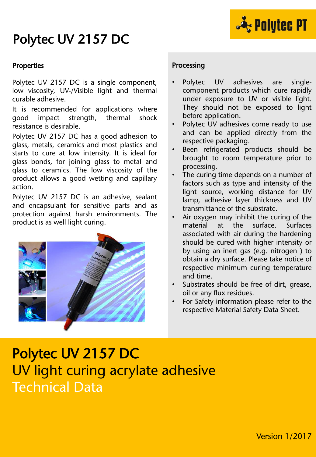# Polytec UV 2157 DC



### Properties

Polytec UV 2157 DC is a single component, low viscosity, UV-/Visible light and thermal curable adhesive.

It is recommended for applications where good impact strength, thermal shock resistance is desirable.

Polytec UV 2157 DC has a good adhesion to glass, metals, ceramics and most plastics and starts to cure at low intensity. It is ideal for glass bonds, for joining glass to metal and glass to ceramics. The low viscosity of the product allows a good wetting and capillary action.

Polytec UV 2157 DC is an adhesive, sealant and encapsulant for sensitive parts and as protection against harsh environments. The product is as well light curing.



## Processing

- Polytec UV adhesives are singlecomponent products which cure rapidly under exposure to UV or visible light. They should not be exposed to light before application.
- Polytec UV adhesives come ready to use and can be applied directly from the respective packaging.
- Been refrigerated products should be brought to room temperature prior to processing.
- The curing time depends on a number of factors such as type and intensity of the light source, working distance for UV lamp, adhesive layer thickness and UV transmittance of the substrate.
- Air oxygen may inhibit the curing of the material at the surface. Surfaces associated with air during the hardening should be cured with higher intensity or by using an inert gas (e.g. nitrogen ) to obtain a dry surface. Please take notice of respective minimum curing temperature and time.
- Substrates should be free of dirt, grease, oil or any flux residues.
- For Safety information please refer to the respective Material Safety Data Sheet.

# Polytec UV 2157 DC UV light curing acrylate adhesive Technical Data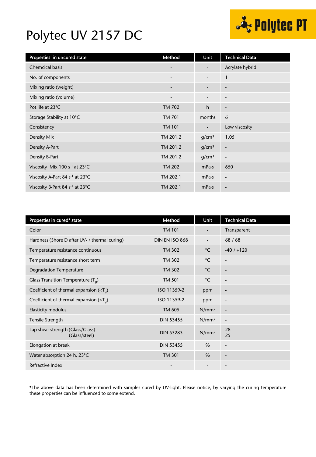# ्टे Polytec PT

## Polytec UV 2157 DC

| Properties in uncured state                 | Method                   | Unit                     | <b>Technical Data</b>    |
|---------------------------------------------|--------------------------|--------------------------|--------------------------|
| <b>Chemcical basis</b>                      | $\overline{\phantom{a}}$ |                          | Acrylate hybrid          |
| No. of components                           | $\overline{\phantom{a}}$ | $\overline{\phantom{a}}$ | $\mathbf{1}$             |
| Mixing ratio (weight)                       | $\overline{\phantom{a}}$ | $\overline{\phantom{a}}$ | $\overline{\phantom{a}}$ |
| Mixing ratio (volume)                       | $\overline{\phantom{a}}$ | $\overline{a}$           | $\overline{\phantom{a}}$ |
| Pot life at 23°C                            | TM 702                   | h                        | $\overline{\phantom{a}}$ |
| Storage Stability at 10°C                   | TM 701                   | months                   | 6                        |
| Consistency                                 | <b>TM 101</b>            | $\overline{\phantom{a}}$ | Low viscosity            |
| Density Mix                                 | TM 201.2                 | g/cm <sup>3</sup>        | 1.05                     |
| Density A-Part                              | TM 201.2                 | g/cm <sup>3</sup>        | $\overline{\phantom{a}}$ |
| Density B-Part                              | TM 201.2                 | q/cm <sup>3</sup>        | $\overline{a}$           |
| Viscosity Mix 100 $s^{-1}$ at 23°C          | <b>TM 202</b>            | mPa·s                    | 650                      |
| Viscosity A-Part 84 s <sup>-1</sup> at 23°C | TM 202.1                 | mPa·s                    | $\overline{\phantom{a}}$ |
| Viscosity B-Part 84 s <sup>-1</sup> at 23°C | TM 202.1                 | mPa·s                    | $\overline{\phantom{a}}$ |

| Properties in cured* state                        | Method           | Unit                     | <b>Technical Data</b>        |
|---------------------------------------------------|------------------|--------------------------|------------------------------|
| Color                                             | <b>TM 101</b>    | $\overline{\phantom{a}}$ | Transparent                  |
| Hardness (Shore D after UV- / thermal curing)     | DIN EN ISO 868   |                          | 68/68                        |
| Temperature resistance continuous                 | <b>TM 302</b>    | $^{\circ}$ C             | $-40/ +120$                  |
| Temperature resistance short term                 | <b>TM 302</b>    | $^{\circ}$ C             |                              |
| <b>Degradation Temperature</b>                    | TM 302           | $^{\circ}$ C             | $\overline{\phantom{a}}$     |
| Glass Transition Temperature $(T_q)$              | <b>TM 501</b>    | $^{\circ}$ C             |                              |
| Coefficient of thermal expansion $(T0)$           | ISO 11359-2      | ppm                      | -                            |
| Coefficient of thermal expansion ( $>T_q$ )       | ISO 11359-2      | ppm                      | -                            |
| <b>Elasticity modulus</b>                         | TM 605           | N/mm <sup>2</sup>        | $\overline{\phantom{a}}$     |
| Tensile Strength                                  | <b>DIN 53455</b> | N/mm <sup>2</sup>        |                              |
| Lap shear strength (Glass/Glass)<br>(Glass/steel) | <b>DIN 53283</b> | N/mm <sup>2</sup>        | 28<br>25                     |
| Elongation at break                               | <b>DIN 53455</b> | $\%$                     | $\overline{\phantom{m}}$     |
| Water absorption 24 h, 23°C                       | <b>TM 301</b>    | $\%$                     | $\qquad \qquad \blacksquare$ |
| Refractive Index                                  |                  | $\overline{\phantom{0}}$ | $\qquad \qquad \blacksquare$ |

\*The above data has been determined with samples cured by UV-light. Please notice, by varying the curing temperature these properties can be influenced to some extend.